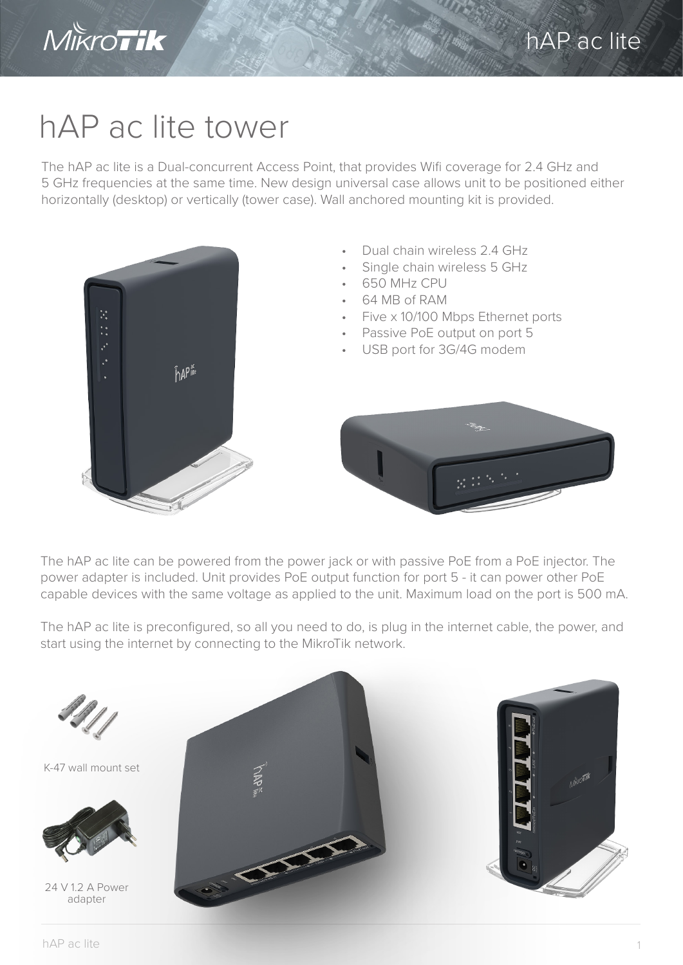

## hAP ac lite tower

The hAP ac lite is a Dual-concurrent Access Point, that provides Wifi coverage for 2.4 GHz and 5 GHz frequencies at the same time. New design universal case allows unit to be positioned either horizontally (desktop) or vertically (tower case). Wall anchored mounting kit is provided.



The hAP ac lite can be powered from the power jack or with passive PoE from a PoE injector. The power adapter is included. Unit provides PoE output function for port 5 - it can power other PoE capable devices with the same voltage as applied to the unit. Maximum load on the port is 500 mA.

The hAP ac lite is preconfigured, so all you need to do, is plug in the internet cable, the power, and start using the internet by connecting to the MikroTik network.